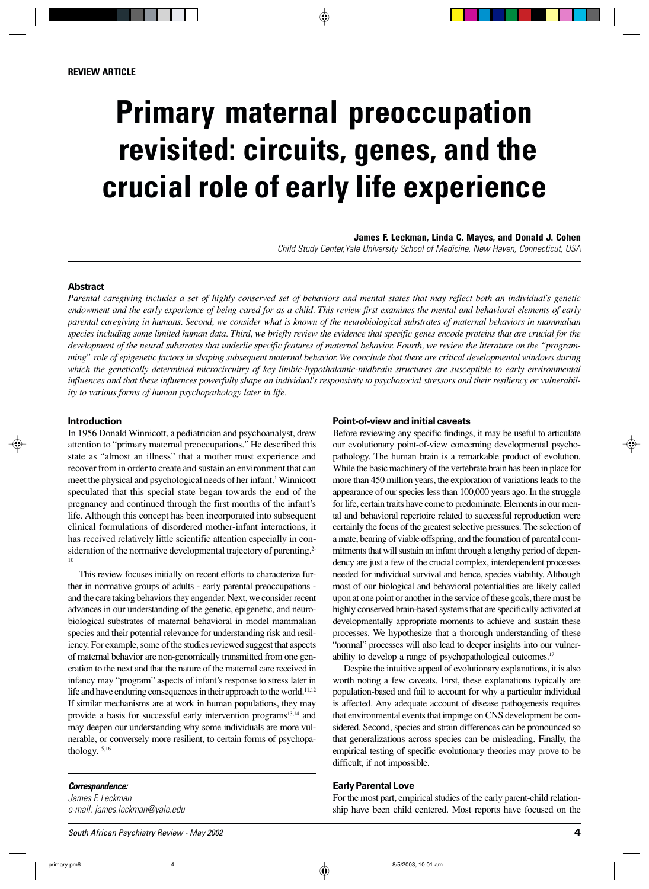# **Primary maternal preoccupation revisited: circuits, genes, and the crucial role of early life experience**

## **James F. Leckman, Linda C. Mayes, and Donald J. Cohen** Child Study Center,Yale University School of Medicine, New Haven, Connecticut, USA

#### **Abstract**

*Parental caregiving includes a set of highly conserved set of behaviors and mental states that may reflect both an individual's genetic endowment and the early experience of being cared for as a child. This review first examines the mental and behavioral elements of early parental caregiving in humans. Second, we consider what is known of the neurobiological substrates of maternal behaviors in mammalian species including some limited human data. Third, we briefly review the evidence that specific genes encode proteins that are crucial for the development of the neural substrates that underlie specific features of maternal behavior. Fourth, we review the literature on the "programming" role of epigenetic factors in shaping subsequent maternal behavior. We conclude that there are critical developmental windows during which the genetically determined microcircuitry of key limbic-hypothalamic-midbrain structures are susceptible to early environmental influences and that these influences powerfully shape an individual's responsivity to psychosocial stressors and their resiliency or vulnerability to various forms of human psychopathology later in life.*

#### **Introduction**

In 1956 Donald Winnicott, a pediatrician and psychoanalyst, drew attention to "primary maternal preoccupations." He described this state as "almost an illness" that a mother must experience and recover from in order to create and sustain an environment that can meet the physical and psychological needs of her infant.<sup>1</sup> Winnicott speculated that this special state began towards the end of the pregnancy and continued through the first months of the infant's life. Although this concept has been incorporated into subsequent clinical formulations of disordered mother-infant interactions, it has received relatively little scientific attention especially in consideration of the normative developmental trajectory of parenting.<sup>2</sup> 10

This review focuses initially on recent efforts to characterize further in normative groups of adults - early parental preoccupations and the care taking behaviors they engender. Next, we consider recent advances in our understanding of the genetic, epigenetic, and neurobiological substrates of maternal behavioral in model mammalian species and their potential relevance for understanding risk and resiliency. For example, some of the studies reviewed suggest that aspects of maternal behavior are non-genomically transmitted from one generation to the next and that the nature of the maternal care received in infancy may "program" aspects of infant's response to stress later in life and have enduring consequences in their approach to the world.<sup>11,12</sup> If similar mechanisms are at work in human populations, they may provide a basis for successful early intervention programs<sup>13,14</sup> and may deepen our understanding why some individuals are more vulnerable, or conversely more resilient, to certain forms of psychopathology.15,16

# **Correspondence:**

James F. Leckman e-mail: james.leckman@yale.edu

#### **Point-of-view and initial caveats**

Before reviewing any specific findings, it may be useful to articulate our evolutionary point-of-view concerning developmental psychopathology. The human brain is a remarkable product of evolution. While the basic machinery of the vertebrate brain has been in place for more than 450 million years, the exploration of variations leads to the appearance of our species less than 100,000 years ago. In the struggle for life, certain traits have come to predominate. Elements in our mental and behavioral repertoire related to successful reproduction were certainly the focus of the greatest selective pressures. The selection of a mate, bearing of viable offspring, and the formation of parental commitments that will sustain an infant through a lengthy period of dependency are just a few of the crucial complex, interdependent processes needed for individual survival and hence, species viability. Although most of our biological and behavioral potentialities are likely called upon at one point or another in the service of these goals, there must be highly conserved brain-based systems that are specifically activated at developmentally appropriate moments to achieve and sustain these processes. We hypothesize that a thorough understanding of these "normal" processes will also lead to deeper insights into our vulnerability to develop a range of psychopathological outcomes.<sup>17</sup>

Despite the intuitive appeal of evolutionary explanations, it is also worth noting a few caveats. First, these explanations typically are population-based and fail to account for why a particular individual is affected. Any adequate account of disease pathogenesis requires that environmental events that impinge on CNS development be considered. Second, species and strain differences can be pronounced so that generalizations across species can be misleading. Finally, the empirical testing of specific evolutionary theories may prove to be difficult, if not impossible.

## **Early Parental Love**

For the most part, empirical studies of the early parent-child relationship have been child centered. Most reports have focused on the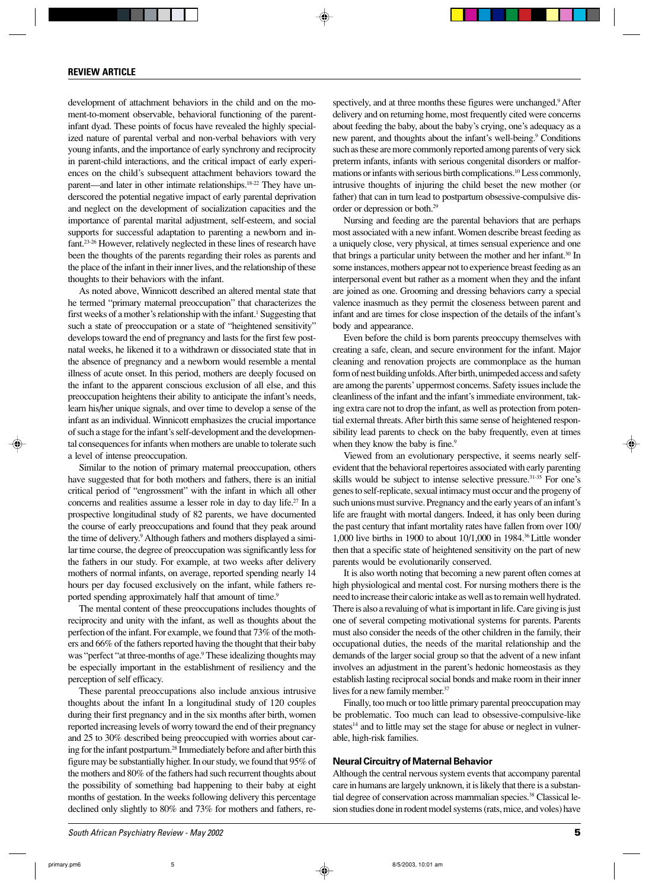development of attachment behaviors in the child and on the moment-to-moment observable, behavioral functioning of the parentinfant dyad. These points of focus have revealed the highly specialized nature of parental verbal and non-verbal behaviors with very young infants, and the importance of early synchrony and reciprocity in parent-child interactions, and the critical impact of early experiences on the child's subsequent attachment behaviors toward the parent—and later in other intimate relationships.18-22 They have underscored the potential negative impact of early parental deprivation and neglect on the development of socialization capacities and the importance of parental marital adjustment, self-esteem, and social supports for successful adaptation to parenting a newborn and infant.23-26 However, relatively neglected in these lines of research have been the thoughts of the parents regarding their roles as parents and the place of the infant in their inner lives, and the relationship of these thoughts to their behaviors with the infant.

As noted above, Winnicott described an altered mental state that he termed "primary maternal preoccupation" that characterizes the first weeks of a mother's relationship with the infant.<sup>1</sup> Suggesting that such a state of preoccupation or a state of "heightened sensitivity" develops toward the end of pregnancy and lasts for the first few postnatal weeks, he likened it to a withdrawn or dissociated state that in the absence of pregnancy and a newborn would resemble a mental illness of acute onset. In this period, mothers are deeply focused on the infant to the apparent conscious exclusion of all else, and this preoccupation heightens their ability to anticipate the infant's needs, learn his/her unique signals, and over time to develop a sense of the infant as an individual. Winnicott emphasizes the crucial importance of such a stage for the infant's self-development and the developmental consequences for infants when mothers are unable to tolerate such a level of intense preoccupation.

Similar to the notion of primary maternal preoccupation, others have suggested that for both mothers and fathers, there is an initial critical period of "engrossment" with the infant in which all other concerns and realities assume a lesser role in day to day life.27 In a prospective longitudinal study of 82 parents, we have documented the course of early preoccupations and found that they peak around the time of delivery.<sup>9</sup> Although fathers and mothers displayed a similar time course, the degree of preoccupation was significantly less for the fathers in our study. For example, at two weeks after delivery mothers of normal infants, on average, reported spending nearly 14 hours per day focused exclusively on the infant, while fathers reported spending approximately half that amount of time.<sup>9</sup>

The mental content of these preoccupations includes thoughts of reciprocity and unity with the infant, as well as thoughts about the perfection of the infant. For example, we found that 73% of the mothers and 66% of the fathers reported having the thought that their baby was "perfect "at three-months of age.<sup>9</sup> These idealizing thoughts may be especially important in the establishment of resiliency and the perception of self efficacy.

These parental preoccupations also include anxious intrusive thoughts about the infant In a longitudinal study of 120 couples during their first pregnancy and in the six months after birth, women reported increasing levels of worry toward the end of their pregnancy and 25 to 30% described being preoccupied with worries about caring for the infant postpartum.28 Immediately before and after birth this figure may be substantially higher. In our study, we found that 95% of the mothers and 80% of the fathers had such recurrent thoughts about the possibility of something bad happening to their baby at eight months of gestation. In the weeks following delivery this percentage declined only slightly to 80% and 73% for mothers and fathers, respectively, and at three months these figures were unchanged.<sup>9</sup> After delivery and on returning home, most frequently cited were concerns about feeding the baby, about the baby's crying, one's adequacy as a new parent, and thoughts about the infant's well-being.<sup>9</sup> Conditions such as these are more commonly reported among parents of very sick preterm infants, infants with serious congenital disorders or malformations or infants with serious birth complications.<sup>10</sup> Less commonly, intrusive thoughts of injuring the child beset the new mother (or father) that can in turn lead to postpartum obsessive-compulsive disorder or depression or both.29

Nursing and feeding are the parental behaviors that are perhaps most associated with a new infant. Women describe breast feeding as a uniquely close, very physical, at times sensual experience and one that brings a particular unity between the mother and her infant.30 In some instances, mothers appear not to experience breast feeding as an interpersonal event but rather as a moment when they and the infant are joined as one. Grooming and dressing behaviors carry a special valence inasmuch as they permit the closeness between parent and infant and are times for close inspection of the details of the infant's body and appearance.

Even before the child is born parents preoccupy themselves with creating a safe, clean, and secure environment for the infant. Major cleaning and renovation projects are commonplace as the human form of nest building unfolds. After birth, unimpeded access and safety are among the parents' uppermost concerns. Safety issues include the cleanliness of the infant and the infant's immediate environment, taking extra care not to drop the infant, as well as protection from potential external threats. After birth this same sense of heightened responsibility lead parents to check on the baby frequently, even at times when they know the baby is fine.<sup>9</sup>

Viewed from an evolutionary perspective, it seems nearly selfevident that the behavioral repertoires associated with early parenting skills would be subject to intense selective pressure.31-35 For one's genes to self-replicate, sexual intimacy must occur and the progeny of such unions must survive. Pregnancy and the early years of an infant's life are fraught with mortal dangers. Indeed, it has only been during the past century that infant mortality rates have fallen from over 100/ 1,000 live births in 1900 to about 10/1,000 in 1984.36 Little wonder then that a specific state of heightened sensitivity on the part of new parents would be evolutionarily conserved.

It is also worth noting that becoming a new parent often comes at high physiological and mental cost. For nursing mothers there is the need to increase their caloric intake as well as to remain well hydrated. There is also a revaluing of what is important in life. Care giving is just one of several competing motivational systems for parents. Parents must also consider the needs of the other children in the family, their occupational duties, the needs of the marital relationship and the demands of the larger social group so that the advent of a new infant involves an adjustment in the parent's hedonic homeostasis as they establish lasting reciprocal social bonds and make room in their inner lives for a new family member.<sup>37</sup>

Finally, too much or too little primary parental preoccupation may be problematic. Too much can lead to obsessive-compulsive-like states<sup>14</sup> and to little may set the stage for abuse or neglect in vulnerable, high-risk families.

#### **Neural Circuitry of Maternal Behavior**

Although the central nervous system events that accompany parental care in humans are largely unknown, it is likely that there is a substantial degree of conservation across mammalian species.<sup>38</sup> Classical lesion studies done in rodent model systems (rats, mice, and voles) have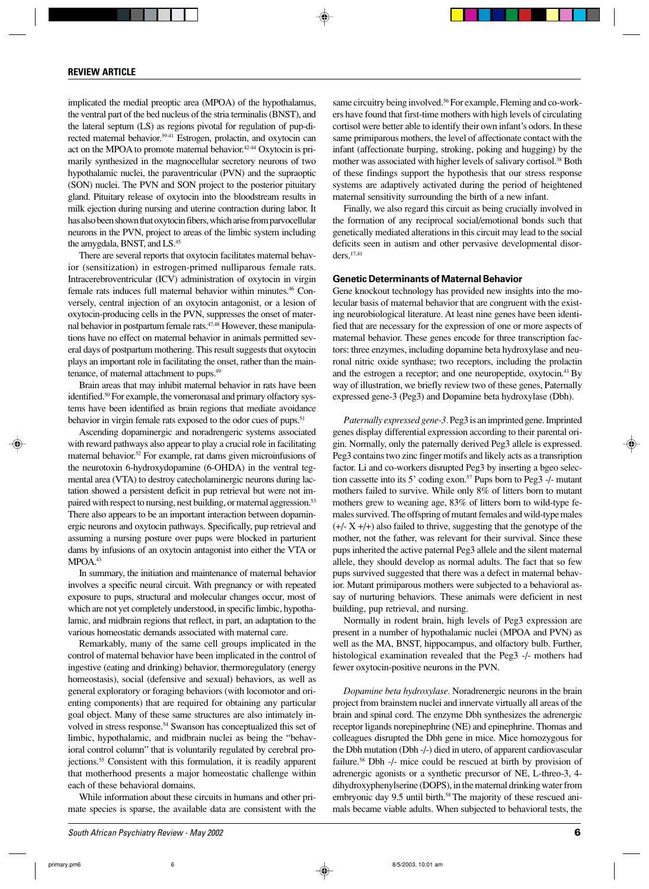implicated the medial preoptic area (MPOA) of the hypothalamus, the ventral part of the bed nucleus of the stria terminalis (BNST), and the lateral septum (LS) as regions pivotal for regulation of pup-directed maternal behavior.<sup>39-41</sup> Estrogen, prolactin, and oxytocin can act on the MPOA to promote maternal behavior.<sup>42-44</sup> Oxytocin is primarily synthesized in the magnocellular secretory neurons of two hypothalamic nuclei, the paraventricular (PVN) and the supraoptic (SON) nuclei. The PVN and SON project to the posterior pituitary gland. Pituitary release of oxytocin into the bloodstream results in milk ejection during nursing and uterine contraction during labor. It has also been shown that oxytocin fibers, which arise from parvocellular neurons in the PVN, project to areas of the limbic system including the amygdala, BNST, and LS.45

There are several reports that oxytocin facilitates maternal behavior (sensitization) in estrogen-primed nulliparous female rats. Intracerebroventricular (ICV) administration of oxytocin in virgin female rats induces full maternal behavior within minutes.46 Conversely, central injection of an oxytocin antagonist, or a lesion of oxytocin-producing cells in the PVN, suppresses the onset of maternal behavior in postpartum female rats.47,48 However, these manipulations have no effect on maternal behavior in animals permitted several days of postpartum mothering. This result suggests that oxytocin plays an important role in facilitating the onset, rather than the maintenance, of maternal attachment to pups.<sup>49</sup>

Brain areas that may inhibit maternal behavior in rats have been identified.<sup>50</sup> For example, the vomeronasal and primary olfactory systems have been identified as brain regions that mediate avoidance behavior in virgin female rats exposed to the odor cues of pups.<sup>51</sup>

Ascending dopaminergic and noradrengeric systems associated with reward pathways also appear to play a crucial role in facilitating maternal behavior.52 For example, rat dams given microinfusions of the neurotoxin 6-hydroxydopamine (6-OHDA) in the ventral tegmental area (VTA) to destroy catecholaminergic neurons during lactation showed a persistent deficit in pup retrieval but were not impaired with respect to nursing, nest building, or maternal aggression.<sup>53</sup> There also appears to be an important interaction between dopaminergic neurons and oxytocin pathways. Specifically, pup retrieval and assuming a nursing posture over pups were blocked in parturient dams by infusions of an oxytocin antagonist into either the VTA or MPOA.<sup>43</sup>

In summary, the initiation and maintenance of maternal behavior involves a specific neural circuit. With pregnancy or with repeated exposure to pups, structural and molecular changes occur, most of which are not yet completely understood, in specific limbic, hypothalamic, and midbrain regions that reflect, in part, an adaptation to the various homeostatic demands associated with maternal care.

Remarkably, many of the same cell groups implicated in the control of maternal behavior have been implicated in the control of ingestive (eating and drinking) behavior, thermoregulatory (energy homeostasis), social (defensive and sexual) behaviors, as well as general exploratory or foraging behaviors (with locomotor and orienting components) that are required for obtaining any particular goal object. Many of these same structures are also intimately involved in stress response.54 Swanson has conceptualized this set of limbic, hypothalamic, and midbrain nuclei as being the "behavioral control column" that is voluntarily regulated by cerebral projections.55 Consistent with this formulation, it is readily apparent that motherhood presents a major homeostatic challenge within each of these behavioral domains.

While information about these circuits in humans and other primate species is sparse, the available data are consistent with the same circuitry being involved.<sup>56</sup> For example, Fleming and co-workers have found that first-time mothers with high levels of circulating cortisol were better able to identify their own infant's odors. In these same primiparous mothers, the level of affectionate contact with the infant (affectionate burping, stroking, poking and hugging) by the mother was associated with higher levels of salivary cortisol.38 Both of these findings support the hypothesis that our stress response systems are adaptively activated during the period of heightened maternal sensitivity surrounding the birth of a new infant.

Finally, we also regard this circuit as being crucially involved in the formation of any reciprocal social/emotional bonds such that genetically mediated alterations in this circuit may lead to the social deficits seen in autism and other pervasive developmental disorders.17,41

#### **Genetic Determinants of Maternal Behavior**

Gene knockout technology has provided new insights into the molecular basis of maternal behavior that are congruent with the existing neurobiological literature. At least nine genes have been identified that are necessary for the expression of one or more aspects of maternal behavior. These genes encode for three transcription factors: three enzymes, including dopamine beta hydroxylase and neuronal nitric oxide synthase; two receptors, including the prolactin and the estrogen a receptor; and one neuropeptide, oxytocin.<sup>41</sup> By way of illustration, we briefly review two of these genes, Paternally expressed gene-3 (Peg3) and Dopamine beta hydroxylase (Dbh).

*Paternally expressed gene-3.*Peg3 is an imprinted gene. Imprinted genes display differential expression according to their parental origin. Normally, only the paternally derived Peg3 allele is expressed. Peg3 contains two zinc finger motifs and likely acts as a transription factor. Li and co-workers disrupted Peg3 by inserting a bgeo selection cassette into its 5' coding exon.57 Pups born to Peg3 -/- mutant mothers failed to survive. While only 8% of litters born to mutant mothers grew to weaning age, 83% of litters born to wild-type females survived. The offspring of mutant females and wild-type males  $(+/X +/+)$  also failed to thrive, suggesting that the genotype of the mother, not the father, was relevant for their survival. Since these pups inherited the active paternal Peg3 allele and the silent maternal allele, they should develop as normal adults. The fact that so few pups survived suggested that there was a defect in maternal behavior. Mutant primiparous mothers were subjected to a behavioral assay of nurturing behaviors. These animals were deficient in nest building, pup retrieval, and nursing.

Normally in rodent brain, high levels of Peg3 expression are present in a number of hypothalamic nuclei (MPOA and PVN) as well as the MA, BNST, hippocampus, and olfactory bulb. Further, histological examination revealed that the Peg3 -/- mothers had fewer oxytocin-positive neurons in the PVN.

*Dopamine beta hydroxylase.* Noradrenergic neurons in the brain project from brainstem nuclei and innervate virtually all areas of the brain and spinal cord. The enzyme Dbh synthesizes the adrenergic receptor ligands norepinephrine (NE) and epinephrine. Thomas and colleagues disrupted the Dbh gene in mice. Mice homozygous for the Dbh mutation (Dbh -/-) died in utero, of apparent cardiovascular failure.<sup>58</sup> Dbh -/- mice could be rescued at birth by provision of adrenergic agonists or a synthetic precursor of NE, L-threo-3, 4 dihydroxyphenylserine (DOPS), in the maternal drinking water from embryonic day 9.5 until birth.<sup>58</sup> The majority of these rescued animals became viable adults. When subjected to behavioral tests, the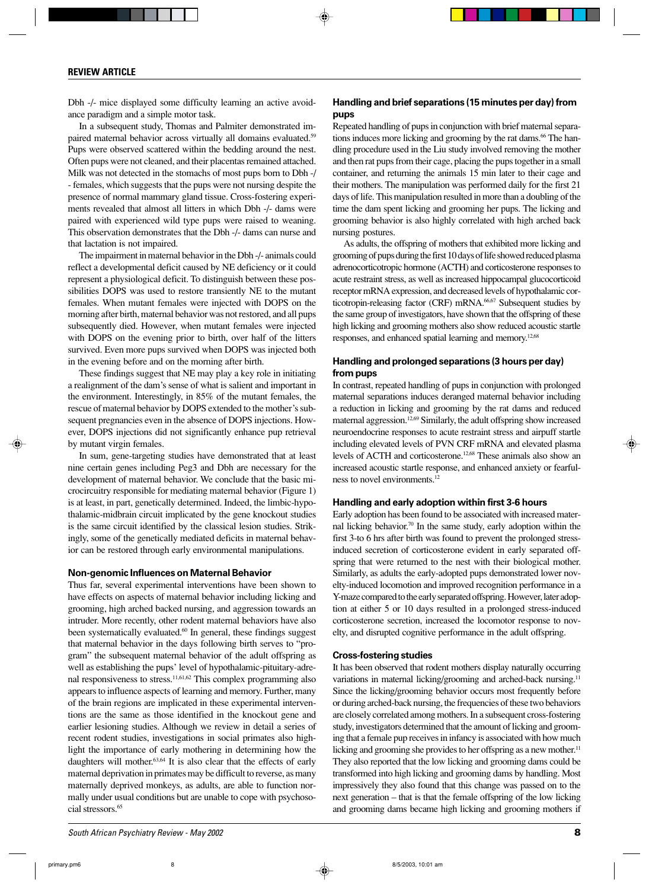Dbh -/- mice displayed some difficulty learning an active avoidance paradigm and a simple motor task.

In a subsequent study, Thomas and Palmiter demonstrated impaired maternal behavior across virtually all domains evaluated.<sup>59</sup> Pups were observed scattered within the bedding around the nest. Often pups were not cleaned, and their placentas remained attached. Milk was not detected in the stomachs of most pups born to Dbh -/ - females, which suggests that the pups were not nursing despite the presence of normal mammary gland tissue. Cross-fostering experiments revealed that almost all litters in which Dbh -/- dams were paired with experienced wild type pups were raised to weaning. This observation demonstrates that the Dbh -/- dams can nurse and that lactation is not impaired.

The impairment in maternal behavior in the Dbh -/- animals could reflect a developmental deficit caused by NE deficiency or it could represent a physiological deficit. To distinguish between these possibilities DOPS was used to restore transiently NE to the mutant females. When mutant females were injected with DOPS on the morning after birth, maternal behavior was not restored, and all pups subsequently died. However, when mutant females were injected with DOPS on the evening prior to birth, over half of the litters survived. Even more pups survived when DOPS was injected both in the evening before and on the morning after birth.

These findings suggest that NE may play a key role in initiating a realignment of the dam's sense of what is salient and important in the environment. Interestingly, in 85% of the mutant females, the rescue of maternal behavior by DOPS extended to the mother's subsequent pregnancies even in the absence of DOPS injections. However, DOPS injections did not significantly enhance pup retrieval by mutant virgin females.

In sum, gene-targeting studies have demonstrated that at least nine certain genes including Peg3 and Dbh are necessary for the development of maternal behavior. We conclude that the basic microcircuitry responsible for mediating maternal behavior (Figure 1) is at least, in part, genetically determined. Indeed, the limbic-hypothalamic-midbrain circuit implicated by the gene knockout studies is the same circuit identified by the classical lesion studies. Strikingly, some of the genetically mediated deficits in maternal behavior can be restored through early environmental manipulations.

#### **Non-genomic Influences on Maternal Behavior**

Thus far, several experimental interventions have been shown to have effects on aspects of maternal behavior including licking and grooming, high arched backed nursing, and aggression towards an intruder. More recently, other rodent maternal behaviors have also been systematically evaluated.<sup>60</sup> In general, these findings suggest that maternal behavior in the days following birth serves to "program" the subsequent maternal behavior of the adult offspring as well as establishing the pups' level of hypothalamic-pituitary-adrenal responsiveness to stress.11,61,62 This complex programming also appears to influence aspects of learning and memory. Further, many of the brain regions are implicated in these experimental interventions are the same as those identified in the knockout gene and earlier lesioning studies. Although we review in detail a series of recent rodent studies, investigations in social primates also highlight the importance of early mothering in determining how the daughters will mother.<sup>63,64</sup> It is also clear that the effects of early maternal deprivation in primates may be difficult to reverse, as many maternally deprived monkeys, as adults, are able to function normally under usual conditions but are unable to cope with psychosocial stressors.<sup>65</sup>

# **Handling and brief separations (15 minutes per day) from pups**

Repeated handling of pups in conjunction with brief maternal separations induces more licking and grooming by the rat dams.<sup>66</sup> The handling procedure used in the Liu study involved removing the mother and then rat pups from their cage, placing the pups together in a small container, and returning the animals 15 min later to their cage and their mothers. The manipulation was performed daily for the first 21 days of life. This manipulation resulted in more than a doubling of the time the dam spent licking and grooming her pups. The licking and grooming behavior is also highly correlated with high arched back nursing postures.

As adults, the offspring of mothers that exhibited more licking and grooming of pups during the first 10 days of life showed reduced plasma adrenocorticotropic hormone (ACTH) and corticosterone responses to acute restraint stress, as well as increased hippocampal glucocorticoid receptor mRNA expression, and decreased levels of hypothalamic corticotropin-releasing factor (CRF) mRNA.<sup>66,67</sup> Subsequent studies by the same group of investigators, have shown that the offspring of these high licking and grooming mothers also show reduced acoustic startle responses, and enhanced spatial learning and memory.12,68

### **Handling and prolonged separations (3 hours per day) from pups**

In contrast, repeated handling of pups in conjunction with prolonged maternal separations induces deranged maternal behavior including a reduction in licking and grooming by the rat dams and reduced maternal aggression.12,69 Similarly, the adult offspring show increased neuroendocrine responses to acute restraint stress and airpuff startle including elevated levels of PVN CRF mRNA and elevated plasma levels of ACTH and corticosterone.12,68 These animals also show an increased acoustic startle response, and enhanced anxiety or fearfulness to novel environments.12

#### **Handling and early adoption within first 3-6 hours**

Early adoption has been found to be associated with increased maternal licking behavior.70 In the same study, early adoption within the first 3-to 6 hrs after birth was found to prevent the prolonged stressinduced secretion of corticosterone evident in early separated offspring that were returned to the nest with their biological mother. Similarly, as adults the early-adopted pups demonstrated lower novelty-induced locomotion and improved recognition performance in a Y-maze compared to the early separated offspring. However, later adoption at either 5 or 10 days resulted in a prolonged stress-induced corticosterone secretion, increased the locomotor response to novelty, and disrupted cognitive performance in the adult offspring.

#### **Cross-fostering studies**

It has been observed that rodent mothers display naturally occurring variations in maternal licking/grooming and arched-back nursing.11 Since the licking/grooming behavior occurs most frequently before or during arched-back nursing, the frequencies of these two behaviors are closely correlated among mothers. In a subsequent cross-fostering study, investigators determined that the amount of licking and grooming that a female pup receives in infancy is associated with how much licking and grooming she provides to her offspring as a new mother.<sup>11</sup> They also reported that the low licking and grooming dams could be transformed into high licking and grooming dams by handling. Most impressively they also found that this change was passed on to the next generation – that is that the female offspring of the low licking and grooming dams became high licking and grooming mothers if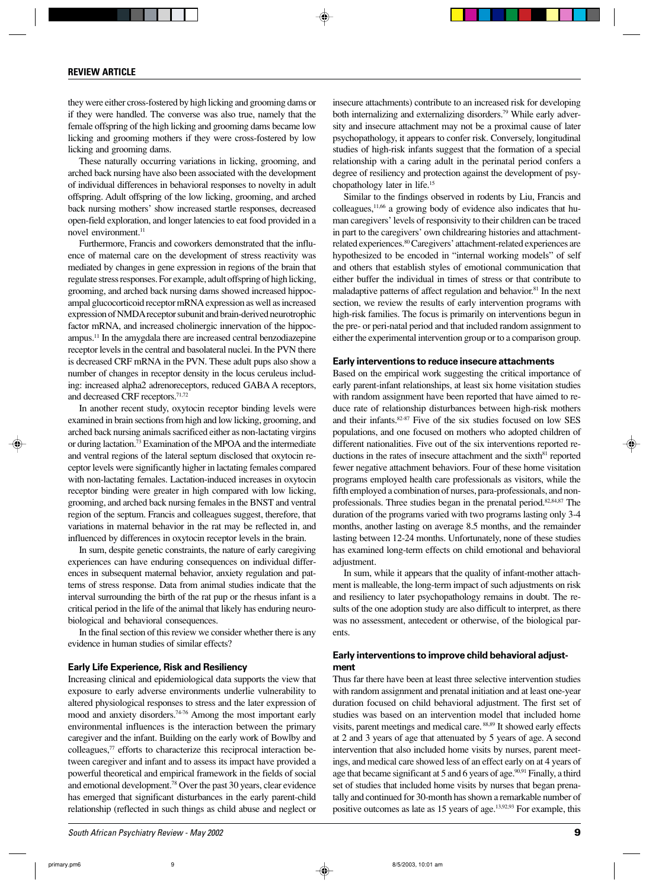they were either cross-fostered by high licking and grooming dams or if they were handled. The converse was also true, namely that the female offspring of the high licking and grooming dams became low licking and grooming mothers if they were cross-fostered by low licking and grooming dams.

These naturally occurring variations in licking, grooming, and arched back nursing have also been associated with the development of individual differences in behavioral responses to novelty in adult offspring. Adult offspring of the low licking, grooming, and arched back nursing mothers' show increased startle responses, decreased open-field exploration, and longer latencies to eat food provided in a novel environment.<sup>11</sup>

Furthermore, Francis and coworkers demonstrated that the influence of maternal care on the development of stress reactivity was mediated by changes in gene expression in regions of the brain that regulate stress responses. For example, adult offspring of high licking, grooming, and arched back nursing dams showed increased hippocampal glucocorticoid receptor mRNA expression as well as increased expression of NMDA receptor subunit and brain-derived neurotrophic factor mRNA, and increased cholinergic innervation of the hippocampus.11 In the amygdala there are increased central benzodiazepine receptor levels in the central and basolateral nuclei. In the PVN there is decreased CRF mRNA in the PVN. These adult pups also show a number of changes in receptor density in the locus ceruleus including: increased alpha2 adrenoreceptors, reduced GABA A receptors, and decreased CRF receptors.<sup>71,72</sup>

In another recent study, oxytocin receptor binding levels were examined in brain sections from high and low licking, grooming, and arched back nursing animals sacrificed either as non-lactating virgins or during lactation.73 Examination of the MPOA and the intermediate and ventral regions of the lateral septum disclosed that oxytocin receptor levels were significantly higher in lactating females compared with non-lactating females. Lactation-induced increases in oxytocin receptor binding were greater in high compared with low licking, grooming, and arched back nursing females in the BNST and ventral region of the septum. Francis and colleagues suggest, therefore, that variations in maternal behavior in the rat may be reflected in, and influenced by differences in oxytocin receptor levels in the brain.

In sum, despite genetic constraints, the nature of early caregiving experiences can have enduring consequences on individual differences in subsequent maternal behavior, anxiety regulation and patterns of stress response. Data from animal studies indicate that the interval surrounding the birth of the rat pup or the rhesus infant is a critical period in the life of the animal that likely has enduring neurobiological and behavioral consequences.

In the final section of this review we consider whether there is any evidence in human studies of similar effects?

#### **Early Life Experience, Risk and Resiliency**

Increasing clinical and epidemiological data supports the view that exposure to early adverse environments underlie vulnerability to altered physiological responses to stress and the later expression of mood and anxiety disorders.74-76 Among the most important early environmental influences is the interaction between the primary caregiver and the infant. Building on the early work of Bowlby and colleagues,<sup>77</sup> efforts to characterize this reciprocal interaction between caregiver and infant and to assess its impact have provided a powerful theoretical and empirical framework in the fields of social and emotional development.78 Over the past 30 years, clear evidence has emerged that significant disturbances in the early parent-child relationship (reflected in such things as child abuse and neglect or insecure attachments) contribute to an increased risk for developing both internalizing and externalizing disorders.79 While early adversity and insecure attachment may not be a proximal cause of later psychopathology, it appears to confer risk. Conversely, longitudinal studies of high-risk infants suggest that the formation of a special relationship with a caring adult in the perinatal period confers a degree of resiliency and protection against the development of psychopathology later in life.15

Similar to the findings observed in rodents by Liu, Francis and  $\text{colleagues},^{11,66}$  a growing body of evidence also indicates that human caregivers' levels of responsivity to their children can be traced in part to the caregivers' own childrearing histories and attachmentrelated experiences.80Caregivers' attachment-related experiences are hypothesized to be encoded in "internal working models" of self and others that establish styles of emotional communication that either buffer the individual in times of stress or that contribute to maladaptive patterns of affect regulation and behavior.81 In the next section, we review the results of early intervention programs with high-risk families. The focus is primarily on interventions begun in the pre- or peri-natal period and that included random assignment to either the experimental intervention group or to a comparison group.

#### **Early interventions to reduce insecure attachments**

Based on the empirical work suggesting the critical importance of early parent-infant relationships, at least six home visitation studies with random assignment have been reported that have aimed to reduce rate of relationship disturbances between high-risk mothers and their infants.<sup>82-87</sup> Five of the six studies focused on low SES populations, and one focused on mothers who adopted children of different nationalities. Five out of the six interventions reported reductions in the rates of insecure attachment and the sixth $81$  reported fewer negative attachment behaviors. Four of these home visitation programs employed health care professionals as visitors, while the fifth employed a combination of nurses, para-professionals, and nonprofessionals. Three studies began in the prenatal period.82,84,87 The duration of the programs varied with two programs lasting only 3-4 months, another lasting on average 8.5 months, and the remainder lasting between 12-24 months. Unfortunately, none of these studies has examined long-term effects on child emotional and behavioral adjustment.

In sum, while it appears that the quality of infant-mother attachment is malleable, the long-term impact of such adjustments on risk and resiliency to later psychopathology remains in doubt. The results of the one adoption study are also difficult to interpret, as there was no assessment, antecedent or otherwise, of the biological parents.

# **Early interventions to improve child behavioral adjustment**

Thus far there have been at least three selective intervention studies with random assignment and prenatal initiation and at least one-year duration focused on child behavioral adjustment. The first set of studies was based on an intervention model that included home visits, parent meetings and medical care. 88,89 It showed early effects at 2 and 3 years of age that attenuated by 5 years of age. A second intervention that also included home visits by nurses, parent meetings, and medical care showed less of an effect early on at 4 years of age that became significant at 5 and 6 years of age.<sup>90,91</sup> Finally, a third set of studies that included home visits by nurses that began prenatally and continued for 30-month has shown a remarkable number of positive outcomes as late as 15 years of age.13,92,93 For example, this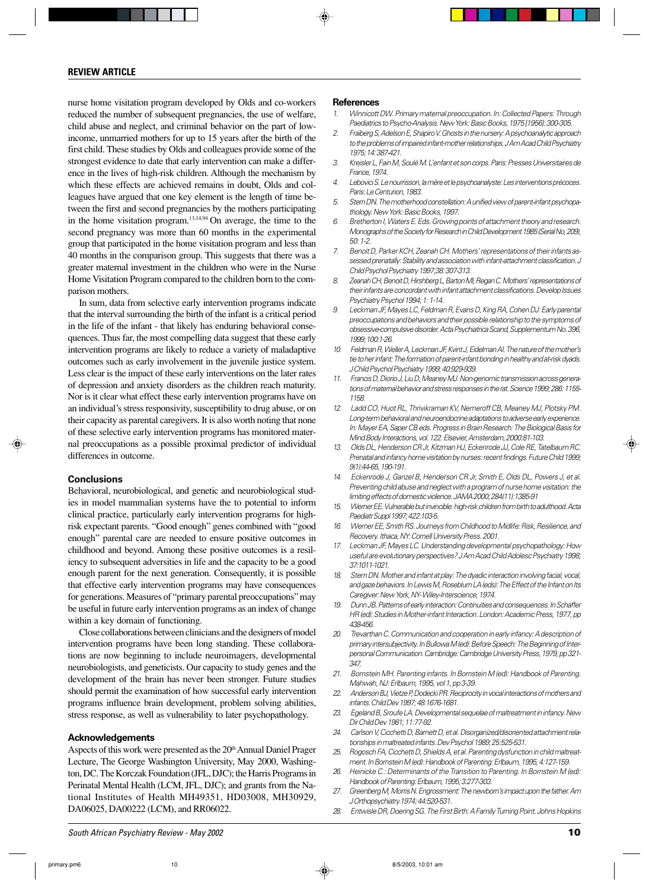nurse home visitation program developed by Olds and co-workers reduced the number of subsequent pregnancies, the use of welfare, child abuse and neglect, and criminal behavior on the part of lowincome, unmarried mothers for up to 15 years after the birth of the first child. These studies by Olds and colleagues provide some of the strongest evidence to date that early intervention can make a difference in the lives of high-risk children. Although the mechanism by which these effects are achieved remains in doubt, Olds and colleagues have argued that one key element is the length of time between the first and second pregnancies by the mothers participating in the home visitation program.13,14,94 On average, the time to the second pregnancy was more than 60 months in the experimental group that participated in the home visitation program and less than 40 months in the comparison group. This suggests that there was a greater maternal investment in the children who were in the Nurse Home Visitation Program compared to the children born to the comparison mothers.

In sum, data from selective early intervention programs indicate that the interval surrounding the birth of the infant is a critical period in the life of the infant - that likely has enduring behavioral consequences. Thus far, the most compelling data suggest that these early intervention programs are likely to reduce a variety of maladaptive outcomes such as early involvement in the juvenile justice system. Less clear is the impact of these early interventions on the later rates of depression and anxiety disorders as the children reach maturity. Nor is it clear what effect these early intervention programs have on an individual's stress responsivity, susceptibility to drug abuse, or on their capacity as parental caregivers. It is also worth noting that none of these selective early intervention programs has monitored maternal preoccupations as a possible proximal predictor of individual differences in outcome.

#### **Conclusions**

Behavioral, neurobiological, and genetic and neurobiological studies in model mammalian systems have the to potential to inform clinical practice, particularly early intervention programs for highrisk expectant parents. "Good enough" genes combined with "good enough" parental care are needed to ensure positive outcomes in childhood and beyond. Among these positive outcomes is a resiliency to subsequent adversities in life and the capacity to be a good enough parent for the next generation. Consequently, it is possible that effective early intervention programs may have consequences for generations. Measures of "primary parental preoccupations" may be useful in future early intervention programs as an index of change within a key domain of functioning.

Close collaborations between clinicians and the designers of model intervention programs have been long standing. These collaborations are now beginning to include neuroimagers, developmental neurobiologists, and geneticists. Our capacity to study genes and the development of the brain has never been stronger. Future studies should permit the examination of how successful early intervention programs influence brain development, problem solving abilities, stress response, as well as vulnerability to later psychopathology.

#### **Acknowledgements**

Aspects of this work were presented as the 20<sup>th</sup> Annual Daniel Prager Lecture, The George Washington University, May 2000, Washington, DC. The Korczak Foundation (JFL, DJC); the Harris Programs in Perinatal Mental Health (LCM, JFL, DJC); and grants from the National Institutes of Health MH49351, HD03008, MH30929, DA06025, DA00222 (LCM), and RR06022.

#### **References**

- 1. Winnicott DW. Primary maternal preoccupation. In: Collected Papers: Through Paediatrics to Psycho-Analysis. New York: Basic Books, 1975 [1956]: 300-305.
- 2. Fraiberg S, Adelson E, Shapiro V. Ghosts in the nursery: A psychoanalytic approach to the problems of impaired infant-mother relationships. J Am Acad Child Psychiatry 1975; 14: 387-421.
- 3. Kreisler L, Fain M, Soulé M. L'enfant et son corps. Paris: Presses Universitaires de France, 1974.
- 4. Lebovici S. Le nourrisson, la mère et le psychoanalyste: Les interventions précoces. Paris: Le Centurion, 1983.
- 5. Stern DN. The motherhood constellation: A unified view of parent-infant psychopathology. New York: Basic Books, 1997.
- 6. Bretherton I, Waters E. Eds. Growing points of attachment theory and research. Monographs of the Society for Research in Child Development 1985 (Serial No, 209), 50: 1-2.
- 7. Benoit D, Parker KCH, Zeanah CH. Mothers' representations of their infants assessed prenatally: Stability and association with infant-attachment classification. J Child Psychol Psychiatry 1997;38: 307-313.
- 8. Zeanah CH, Benoit D, Hirshberg L, Barton Ml, Regan C. Mothers' representations of their infants are concordant with infant attachment classifications. Develop Issues Psychiatry Psychol 1994; 1: 1-14.
- 9. Leckman JF, Mayes LC, Feldman R, Evans D, King RA, Cohen DJ: Early parental preoccupations and behaviors and their possible relationship to the symptoms of obsessive-compulsive disorder. Acta Psychiatrica Scand, Supplementum No. 396, 1999; 100:1-26.
- 10. Feldman R, Weller A, Leckman JF, Kvint J, Eidelman AI. The nature of the mother's tie to her infant: The formation of parent-infant bonding in healthy and at-risk dyads. J Child Psychol Psychiatry 1999; 40:929-939.
- Francis D, Diorio J, Liu D, Meaney MJ. Non-genomic transmission across generations of maternal behavior and stress responses in the rat. Science 1999; 286: 1155- 1158.
- 12. Ladd CO, Huot RL, Thrivikraman KV, Nemeroff CB, Meaney MJ, Plotsky PM. Long-term behavioral and neuroendocrine adaptations to adverse early experience. In: Mayer EA, Saper CB eds. Progress in Brain Research: The Biological Basis for Mind Body Interactions, vol. 122. Elsevier, Amsterdam, 2000:81-103.
- 13. Olds DL, Henderson CR Jr, Kitzman HJ, Eckenrode JJ, Cole RE, Tatelbaum RC. Prenatal and infancy home visitation by nurses: recent findings. Future Child 1999; 9(1):44-65, 190-191.
- Eckenrode J, Ganzel B, Henderson CR Jr, Smith E, Olds DL, Powers J, et al. Preventing child abuse and neglect with a program of nurse home visitation: the limiting effects of domestic violence. JAMA 2000; 284(11):1385-91
- 15. Werner EE. Vulnerable but invincible: high-risk children from birth to adulthood. Acta Paediatr Suppl 1997; 422:103-5.
- 16. Werner EE, Smith RS. Journeys from Childhood to Midlife: Risk, Resilience, and Recovery. Ithaca, NY: Cornell University Press. 2001.
- 17. Leckman JF, Mayes LC. Understanding developmental psychopathology: How useful are evolutionary perspectives? J Am Acad Child Adolesc Psychiatry 1998; 37:1011-1021.
- 18. Stem DN. Mother and infant at play: The dyadic interaction involving facial, vocal, and gaze behaviors. In Lewis M, Roseblurn LA (eds): The Effect of the Infant on Its Caregiver: New York, NY- Wiley-Interscience, 1974.
- 19. Dunn JB. Patterns of early interaction: Continuities and consequences. In Schaffer HR (ed): Studies in Mother-infant Interaction. London: Academic Press, 1977, pp 438-456.
- 20. Trevarthan C. Communication and cooperation in early infancy: A description of primary intersubjectivity. In Bullowa M (ed): Before Speech: The Beginning of Interpersonal Communication. Cambridge: Cambridge University Press, 1979, pp 321- 347.
- 21. Bornstein MH. Parenting infants. In Bornstein M (ed): Handbook of Parenting. Mahwah, NJ: Erlbaum, 1995, vol 1, pp 3-39.
- 22. Anderson BJ, Vietze P, Dodecki PR. Reciprocity in vocal interactions of mothers and infants. Child Dev 1997; 48:1676-1681.
- 23. Egeland B, Sroufe LA. Developmental sequelae of maltreatment in infancy. New Dir Child Dev 1981; 11:77-92.
- 24. Carlson V, Cicchetti D, Barnett D, et al. Disorganized/disoriented attachment relationships in maltreated infants. Dev Psychol 1989; 25:525-531.
- 25. Rogosch FA, Cicchetti D, Shields A, et al. Parenting dysfunction in child maltreatment. In Bornstein M (ed): Handbook of Parenting: Erlbaum, 1995, 4:127-159.
- 26. Heinicke C.: Determinants of the Transition to Parenting. In Bornstein M (ed): Handbook of Parenting: Erlbaum, 1995; 3:277-303.
- 27. Greenberg M, Morris N. Engrossment: The newborn's impact upon the father. Am J Orthopsychiatry 1974; 44:520-531.
- 28. Entwisle DR, Doering SG. The First Birth: A Family Turning Point. Johns Hopkins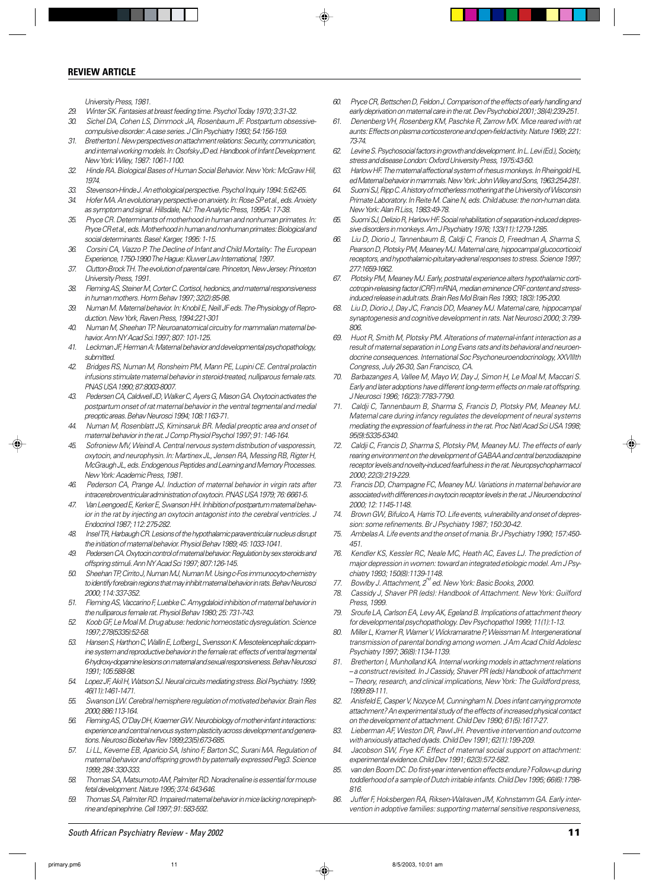University Press, 1981.

- 29. Winter SK. Fantasies at breast feeding time. Psychol Today 1970; 3:31-32.
- 30. Sichel DA, Cohen LS, Dimmock JA, Rosenbaum JF. Postpartum obsessivecompulsive disorder: A case series. J Clin Psychiatry 1993; 54:156-159.
- 31. Bretherton I. New perspectives on attachment relations: Security, communication, and internal working models. In: Osofsky JD ed. Handbook of Infant Development. New York: Wiley, 1987: 1061-1100.
- 32. Hinde RA. Biological Bases of Human Social Behavior. New York: McGraw Hill, 1974.
- 33. Stevenson-Hinde J. An ethological perspective. Psychol Inquiry 1994: 5:62-65.
- 34. Hofer MA. An evolutionary perspective on anxiety. In: Rose SP et al., eds. Anxiety as symptom and signal. Hillsdale, NJ: The Analytic Press, 1995A: 17-38.
- 35. Pryce CR. Determinants of motherhood in human and nonhuman primates. In: Pryce CR et al., eds. Motherhood in human and nonhuman primates: Biological and social determinants. Basel: Karger, 1995: 1-15.
- 36. Corsini CA, Viazzo P. The Decline of Infant and Child Mortality: The European Experience, 1750-1990 The Hague: Kluwer Law International, 1997.
- 37. Clutton-Brock TH. The evolution of parental care. Princeton, New Jersey: Princeton University Press, 1991.
- 38. Fleming AS, Steiner M, Corter C. Cortisol, hedonics, and maternal responsiveness in human mothers. Horm Behav 1997; 32(2):85-98.
- 39. Numan M. Maternal behavior. In: Knobil E, Neill JF eds. The Physiology of Reproduction. New York, Raven Press, 1994:221-301
- 40. Numan M, Sheehan TP. Neuroanatomical circuitry for mammalian maternal behavior. Ann NY Acad Sci.1997; 807: 101-125.
- 41. Leckman JF, Herman A: Maternal behavior and developmental psychopathology, submitted.
- 42. Bridges RS, Numan M, Ronsheim PM, Mann PE, Lupini CE. Central prolactin infusions stimulate maternal behavior in steroid-treated, nulliparous female rats. PNAS USA 1990; 87:8003-8007.
- 43. Pedersen CA, Caldwell JD, Walker C, Ayers G, Mason GA. Oxytocin activates the postpartum onset of rat maternal behavior in the ventral tegmental and medial preoptic areas. Behav Neurosci 1994; 108:1163-71.
- 44. Numan M, Rosenblatt JS, Kiminsaruk BR. Medial preoptic area and onset of maternal behavior in the rat. J Comp Physiol Psychol 1997; 91: 146-164.
- 45. Sofroniew MV, Weindl A. Central nervous system distribution of vasporessin, oxytocin, and neurophysin. In: Martinex JL, Jensen RA, Messing RB, Rigter H, McGraugh JL, eds. Endogenous Peptides and Learning and Memory Processes. New York: Academic Press, 1981.
- 46. Pederson CA, Prange AJ. Induction of maternal behavior in virgin rats after intracerebroventricular administration of oxytocin. PNAS USA 1979; 76: 6661-5.
- 47. Van Leengoed E, Kerker E, Swanson HH. Inhibition of postpartum maternal behavior in the rat by injecting an oxytocin antagonist into the cerebral ventricles. J Endocrinol 1987; 112: 275-282.
- 48. Insel TR, Harbaugh CR. Lesions of the hypothalamic paraventricular nucleus disrupt the initiation of maternal behavior. Physiol Behav 1989; 45: 1033-1041.
- 49. Pedersen CA. Oxytocin control of maternal behavior: Regulation by sex steroids and offspring stimuli. Ann NY Acad Sci 1997; 807:126-145.
- 50. Sheehan TP, Cirrito J, Numan MJ, Numan M. Using c-Fos immunocyto-chemistry to identify forebrain regions that may inhibit maternal behavior in rats. Behav Neurosci 2000; 114: 337-352.
- 51. Fleming AS, Vaccarino F, Luebke C. Amygdaloid inhibition of maternal behavior in the nulliparous female rat. Physiol Behav 1980; 25: 731-743.
- 52. Koob GF, Le Moal M. Drug abuse: hedonic homeostatic dysregulation. Science 1997; 278(5335):52-58.
- 53. Hansen S, Harthon C, Wallin E, Lofberg L, Svensson K. Mesotelencephalic dopamine system and reproductive behavior in the female rat: effects of ventral tegmental 6-hydroxy-dopamine lesions on maternal and sexual responsiveness. Behav Neurosci 1991; 105:588-98.
- 54. Lopez JF, Akil H, Watson SJ. Neural circuits mediating stress. Biol Psychiatry. 1999; 46(11):1461-1471.
- 55. Swanson LW. Cerebral hemisphere regulation of motivated behavior. Brain Res 2000; 886:113-164.
- 56. Fleming AS, O'Day DH, Kraemer GW. Neurobiology of mother-infant interactions: experience and central nervous system plasticity across development and generations. Neurosci Biobehav Rev 1999;23(5):673-685.
- 57. Li LL, Keverne EB, Aparicio SA, Ishino F, Barton SC, Surani MA. Regulation of maternal behavior and offspring growth by paternally expressed Peg3. Science 1999; 284: 330-333.
- 58. Thomas SA, Matsumoto AM, Palmiter RD. Noradrenaline is essential for mouse fetal development. Nature 1995; 374: 643-646.
- 59. Thomas SA, Palmiter RD. Impaired maternal behavior in mice lacking norepinephrine and epinephrine. Cell 1997; 91: 583-592.
- 60. Pryce CR, Bettschen D, Feldon J. Comparison of the effects of early handling and early deprivation on maternal care in the rat. Dev Psychobiol 2001; 38(4):239-251.
- 61. Denenberg VH, Rosenberg KM, Paschke R, Zarrow MX. Mice reared with rat aunts: Effects on plasma corticosterone and open-field activity. Nature 1969; 221: 73-74.
- 62. Levine S. Psychosocial factors in growth and development. In L. Levi (Ed.), Society, stress and disease London: Oxford University Press, 1975:43-50.
- 63. Harlow HF. The maternal affectional system of rhesus monkeys. In Rheingold HL ed Maternal behavior in mammals. New York: John Wiley and Sons, 1963:254-281.
- 64. Suomi SJ, Ripp C. A history of motherless mothering at the University of Wisconsin Primate Laboratory. In Reite M. Caine N, eds. Child abuse: the non-human data. New York: Alan R Liss, 1983:49-78.
- 65. Suomi SJ, Delizio R, Harlow HF. Social rehabilitation of separation-induced depressive disorders in monkeys. Am J Psychiatry 1976; 133(11):1279-1285.
- 66. Liu D, Diorio J, Tannenbaum B, Caldji C, Francis D, Freedman A, Sharma S, Pearson D, Plotsky PM, Meaney MJ. Maternal care, hippocampal glucocorticoid receptors, and hypothalamic-pituitary-adrenal responses to stress. Science 1997; 277:1659-1662.
- 67. Plotsky PM, Meaney MJ. Early, postnatal experience alters hypothalamic corticotropin-releasing factor (CRF) mRNA, median eminence CRF content and stressinduced release in adult rats. Brain Res Mol Brain Res 1993; 18(3):195-200.
- 68. Liu D, Diorio J, Day JC, Francis DD, Meaney MJ. Maternal care, hippocampal synaptogenesis and cognitive development in rats. Nat Neurosci 2000; 3:799- 806.
- 69. Huot R, Smith M, Plotsky PM. Alterations of maternal-infant interaction as a result of maternal separation in Long Evans rats and its behavioral and neuroendocrine consequences. International Soc Psychoneuroendocrinology, XXVIlIth Congress, July 26-30, San Francisco, CA.
- 70. Barbazanges A, Vallee M, Mayo W, Day J, Simon H, Le Moal M, Maccari S. Early and later adoptions have different long-term effects on male rat offspring. J Neurosci 1996; 16(23):7783-7790.
- 71. Caldji C, Tannenbaum B, Sharma S, Francis D, Plotsky PM, Meaney MJ. Maternal care during infancy regulates the development of neural systems mediating the expression of fearfulness in the rat. Proc Natl Acad Sci USA 1998; 95(9):5335-5340.
- 72. Caldji C, Francis D, Sharma S, Plotsky PM, Meaney MJ. The effects of early rearing environment on the development of GABAA and central benzodiazepine receptor levels and novelty-induced fearfulness in the rat. Neuropsychopharmacol 2000; 22(3):219-229.
- 73. Francis DD, Champagne FC, Meaney MJ. Variations in maternal behavior are associated with differences in oxytocin receptor levels in the rat. J Neuroendocrinol 2000; 12: 1145-1148.
- 74. Brown GW, Bifulco A, Harris TO. Life events, vulnerability and onset of depression: some refinements. Br J Psychiatry 1987; 150:30-42.
- 75. Ambelas A. Life events and the onset of mania. Br J Psychiatry 1990; 157:450- 451.
- 76. Kendler KS, Kessler RC, Neale MC, Heath AC, Eaves LJ. The prediction of major depression in women: toward an integrated etiologic model. Am J Psychiatry 1993; 150(8):1139-1148.
- 77. Bowlby J. Attachment, 2<sup>nd</sup> ed. New York: Basic Books, 2000.
- 78. Cassidy J, Shaver PR (eds): Handbook of Attachment. New York: Guilford Press, 1999.
- 79. Sroufe LA, Carlson EA, Levy AK, Egeland B. Implications of attachment theory for developmental psychopathology. Dev Psychopathol 1999; 11(1):1-13.
- 80. Miller L, Kramer R, Warner V, Wickramaratne P, Weissman M. Intergenerational transmission of parental bonding among women. J Am Acad Child Adolesc Psychiatry 1997; 36(8):1134-1139.
- 81. Bretherton I, Munholland KA. Internal working models in attachment relations – a construct revisited. In J Cassidy, Shaver PR (eds) Handbook of attachment – Theory, research, and clinical implications, New York: The Guildford press, 1999:89-111.
- 82. Anisfeld E, Casper V, Nozyce M, Cunningham N. Does infant carrying promote attachment? An experimental study of the effects of increased physical contact on the development of attachment. Child Dev 1990; 61(5):1617-27.
- 83. Lieberman AF, Weston DR, Pawl JH. Preventive intervention and outcome with anxiously attached dyads. Child Dev 1991; 62(1):199-209.
- 84. Jacobson SW, Frye KF. Effect of maternal social support on attachment: experimental evidence.Child Dev 1991; 62(3):572-582.
- 85. van den Boom DC. Do first-year intervention effects endure? Follow-up during toddlerhood of a sample of Dutch irritable infants. Child Dev 1995; 66(6):1798- 816.
- 86. Juffer F, Hoksbergen RA, Riksen-Walraven JM, Kohnstamm GA. Early intervention in adoptive families: supporting maternal sensitive responsiveness,